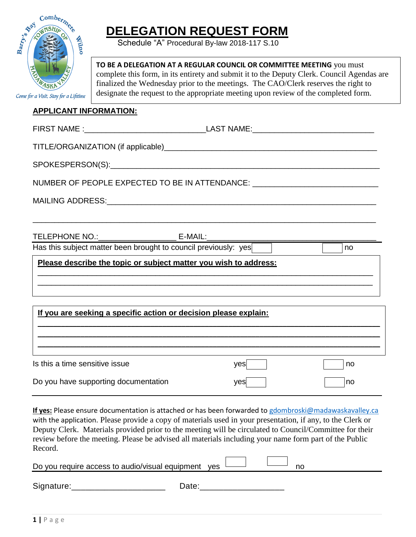

# **DELEGATION REQUEST FORM**

Schedule "A" Procedural By-law 2018-117 S.10

**TO BE A DELEGATION AT A REGULAR COUNCIL OR COMMITTEE MEETING** you must complete this form, in its entirety and submit it to the Deputy Clerk. Council Agendas are finalized the Wednesday prior to the meetings. The CAO/Clerk reserves the right to designate the request to the appropriate meeting upon review of the completed form.

#### **APPLICANT INFORMATION:**

| NUMBER OF PEOPLE EXPECTED TO BE IN ATTENDANCE: _________________________________                                                                                                                                                 |     |    |  |  |  |  |  |
|----------------------------------------------------------------------------------------------------------------------------------------------------------------------------------------------------------------------------------|-----|----|--|--|--|--|--|
|                                                                                                                                                                                                                                  |     |    |  |  |  |  |  |
|                                                                                                                                                                                                                                  |     |    |  |  |  |  |  |
| TELEPHONE NO.:<br>Has this subject matter been brought to council previously: yes<br>Thas this subject matter been brought to council previously: yes<br>The subset matter been brought to council previously: yes The Subset of |     |    |  |  |  |  |  |
|                                                                                                                                                                                                                                  |     |    |  |  |  |  |  |
| Please describe the topic or subject matter you wish to address:<br>,我们也不会有什么。""我们的人,我们也不会有什么?""我们的人,我们也不会有什么?""我们的人,我们也不会有什么?""我们的人,我们也不会有什么?""我们的人                                                                             |     |    |  |  |  |  |  |
| If you are seeking a specific action or decision please explain:                                                                                                                                                                 |     |    |  |  |  |  |  |
|                                                                                                                                                                                                                                  |     |    |  |  |  |  |  |
|                                                                                                                                                                                                                                  |     |    |  |  |  |  |  |
| Is this a time sensitive issue                                                                                                                                                                                                   | yes | no |  |  |  |  |  |
| Do you have supporting documentation                                                                                                                                                                                             | yes | no |  |  |  |  |  |

**If yes:** Please ensure documentation is attached or has been forwarded to [gdombroski@madawaskavalley.ca](mailto:gdombroski@madawaskavalley.ca) with the application. Please provide a copy of materials used in your presentation, if any, to the Clerk or Deputy Clerk. Materials provided prior to the meeting will be circulated to Council/Committee for their review before the meeting. Please be advised all materials including your name form part of the Public  $\frac{1}{2}$ Record.

| Do you require access to audio/visual equipment | ves |  |  |  |
|-------------------------------------------------|-----|--|--|--|
|                                                 |     |  |  |  |

Signature: etc. and the Date:  $\Box$